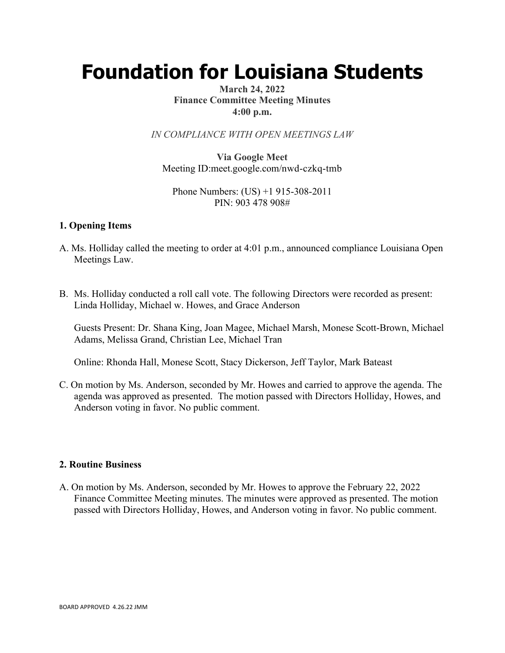# **Foundation for Louisiana Students**

## **March 24, 2022 Finance Committee Meeting Minutes 4:00 p.m.**

*IN COMPLIANCE WITH OPEN MEETINGS LAW*

**Via Google Meet**  Meeting ID:meet.google.com/nwd-czkq-tmb

Phone Numbers: (US) +1 915-308-2011 PIN: 903 478 908#

#### **1. Opening Items**

- A. Ms. Holliday called the meeting to order at 4:01 p.m., announced compliance Louisiana Open Meetings Law.
- B. Ms. Holliday conducted a roll call vote. The following Directors were recorded as present: Linda Holliday, Michael w. Howes, and Grace Anderson

Guests Present: Dr. Shana King, Joan Magee, Michael Marsh, Monese Scott-Brown, Michael Adams, Melissa Grand, Christian Lee, Michael Tran

Online: Rhonda Hall, Monese Scott, Stacy Dickerson, Jeff Taylor, Mark Bateast

C. On motion by Ms. Anderson, seconded by Mr. Howes and carried to approve the agenda. The agenda was approved as presented. The motion passed with Directors Holliday, Howes, and Anderson voting in favor. No public comment.

#### **2. Routine Business**

A. On motion by Ms. Anderson, seconded by Mr. Howes to approve the February 22, 2022 Finance Committee Meeting minutes. The minutes were approved as presented. The motion passed with Directors Holliday, Howes, and Anderson voting in favor. No public comment.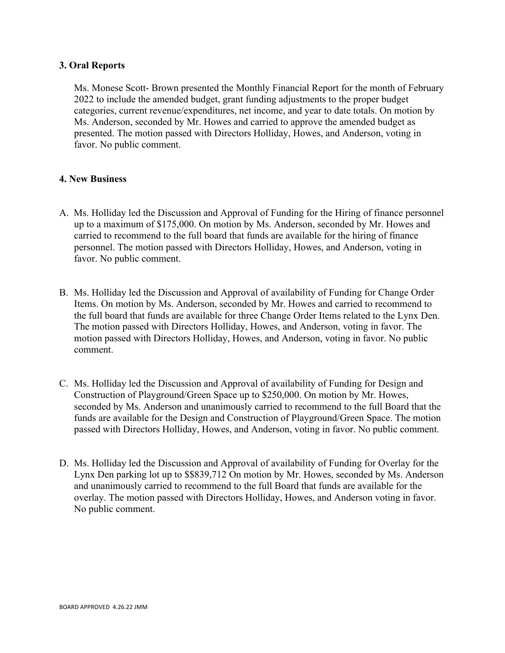### **3. Oral Reports**

Ms. Monese Scott- Brown presented the Monthly Financial Report for the month of February 2022 to include the amended budget, grant funding adjustments to the proper budget categories, current revenue/expenditures, net income, and year to date totals. On motion by Ms. Anderson, seconded by Mr. Howes and carried to approve the amended budget as presented. The motion passed with Directors Holliday, Howes, and Anderson, voting in favor. No public comment.

## **4. New Business**

- A. Ms. Holliday led the Discussion and Approval of Funding for the Hiring of finance personnel up to a maximum of \$175,000. On motion by Ms. Anderson, seconded by Mr. Howes and carried to recommend to the full board that funds are available for the hiring of finance personnel. The motion passed with Directors Holliday, Howes, and Anderson, voting in favor. No public comment.
- B. Ms. Holliday led the Discussion and Approval of availability of Funding for Change Order Items. On motion by Ms. Anderson, seconded by Mr. Howes and carried to recommend to the full board that funds are available for three Change Order Items related to the Lynx Den. The motion passed with Directors Holliday, Howes, and Anderson, voting in favor. The motion passed with Directors Holliday, Howes, and Anderson, voting in favor. No public comment.
- C. Ms. Holliday led the Discussion and Approval of availability of Funding for Design and Construction of Playground/Green Space up to \$250,000. On motion by Mr. Howes, seconded by Ms. Anderson and unanimously carried to recommend to the full Board that the funds are available for the Design and Construction of Playground/Green Space. The motion passed with Directors Holliday, Howes, and Anderson, voting in favor. No public comment.
- D. Ms. Holliday led the Discussion and Approval of availability of Funding for Overlay for the Lynx Den parking lot up to \$\$839,712 On motion by Mr. Howes, seconded by Ms. Anderson and unanimously carried to recommend to the full Board that funds are available for the overlay. The motion passed with Directors Holliday, Howes, and Anderson voting in favor. No public comment.